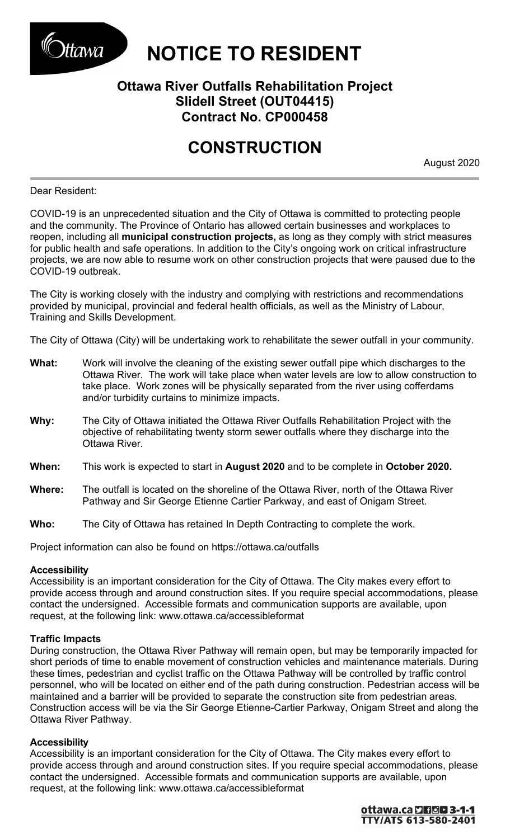

# Markeller **NOTICE TO RESIDENT**

## **Ottawa River Outfalls Rehabilitation Project Slidell Street (OUT04415) Contract No. CP000458**

## **CONSTRUCTION**

August 2020

## Dear Resident:

COVID-19 is an unprecedented situation and the City of Ottawa is committed to protecting people and the community. The Province of Ontario has allowed certain businesses and workplaces to reopen, including all **municipal construction projects,** as long as they comply with strict measures for public health and safe operations. In addition to the City's ongoing work on critical infrastructure projects, we are now able to resume work on other construction projects that were paused due to the COVID-19 outbreak.

The City is working closely with the industry and complying with restrictions and recommendations provided by municipal, provincial and federal health officials, as well as the Ministry of Labour, Training and Skills Development.

The City of Ottawa (City) will be undertaking work to rehabilitate the sewer outfall in your community.

- **What:** Work will involve the cleaning of the existing sewer outfall pipe which discharges to the Ottawa River. The work will take place when water levels are low to allow construction to take place. Work zones will be physically separated from the river using cofferdams and/or turbidity curtains to minimize impacts.
- **Why:** The City of Ottawa initiated the Ottawa River Outfalls Rehabilitation Project with the objective of rehabilitating twenty storm sewer outfalls where they discharge into the Ottawa River.
- **When:** This work is expected to start in **August 2020** and to be complete in **October 2020.**
- **Where:** The outfall is located on the shoreline of the Ottawa River, north of the Ottawa River Pathway and Sir George Etienne Cartier Parkway, and east of Onigam Street.
- **Who:** The City of Ottawa has retained In Depth Contracting to complete the work.

Project information can also be found on <https://ottawa.ca/outfalls>

## **Accessibility**

Accessibility is an important consideration for the City of Ottawa. The City makes every effort to provide access through and around construction sites. If you require special accommodations, please contact the undersigned. Accessible formats and communication supports are available, upon request, at the following link: [www.ottawa.ca/accessibleformat](http://www.ottawa.ca/accessibleformat)

## **Traffic Impacts**

During construction, the Ottawa River Pathway will remain open, but may be temporarily impacted for short periods of time to enable movement of construction vehicles and maintenance materials. During these times, pedestrian and cyclist traffic on the Ottawa Pathway will be controlled by traffic control personnel, who will be located on either end of the path during construction. Pedestrian access will be maintained and a barrier will be provided to separate the construction site from pedestrian areas. Construction access will be via the Sir George Etienne-Cartier Parkway, Onigam Street and along the Ottawa River Pathway.

## **Accessibility**

Accessibility is an important consideration for the City of Ottawa. The City makes every effort to provide access through and around construction sites. If you require special accommodations, please contact the undersigned. Accessible formats and communication supports are available, upon request, at the following link: [www.ottawa.ca/accessibleformat](http://www.ottawa.ca/accessibleformat)